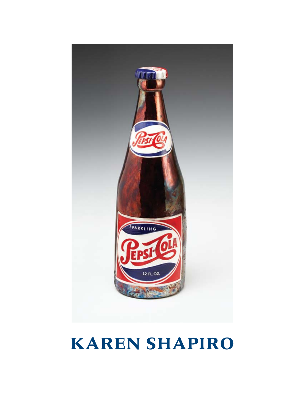

# **KAREN SHAPIRO**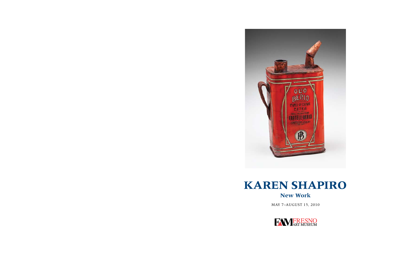



MAY 7-AUGUST 15, 2010



## **KAREN SHAPIRO New Work**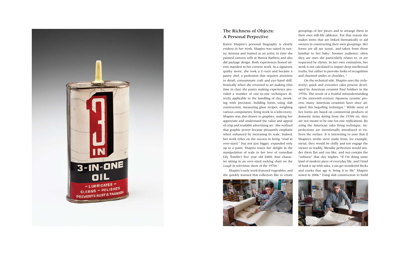

### The Richness of Objects: A Personal Perpective

Karen Shapiro's personal biography is clearly evident in her work. Shapiro was raised in sunny Arizona and trained as an artist; in time she painted cartoon cells at Hanna Barbera and also did package design. Both experiences honed talents manifest in her current work. In a signature quirky move, she took a U-turn and became a pastry chef, a profession that requires attention to detail, consummate craft and eye-hand skill. Ironically when she returned to art making (this time in clay) the pastry making experience provided a number of one-to-one techniques directly applicable to the handling of clay (working with precision, building forms using slab construction, measuring glaze recipes, weighing various components, firing work in a kiln/oven). Shapiro was also drawn to graphics, making her appreciate and understand the value and appeal of crisp and readable advertising art. She realized that graphic power became pleasantly emphatic when enhanced by increasing its scale. Indeed, her work relies on the success in being "read as over-sized," but not just bigger, expanded only up to a point. Shapiro traces her delight in the manipulation of scale to her love of comedian Lily Tomlin's five year old Edith Ann character sitting in an over-sized rocking chair on the *Laugh In* television show of the 1970s.<sup>1</sup> Shapiro's early work featured vegetables, and she quickly learned that collectors like to create forms are all are iconic, and taken from those familiar to her baby- boomer audience; often they are ones she particularly relates to, or are requested by clients. In her own estimation, her work is not calculated to impart deep intellectual truths, but rather to provoke looks of recognition and charmed smiles or chuckles.<sup>2</sup> On the technical side, Shapiro uses the (relatively) quick and evocative raku process developed by American ceramist Paul Soldner in the 1970s. The result of a fruitful misunderstanding of the sixteenth-century Japanese ceramic process, many American ceramists have since adopted this beguiling technique.3 While most of her forms are based on commercial products or domestic items dating from the 1930s on, they are not meant to be one-for-one replications. By using the American raku firing technique, imperfections are intentionally introduced to enliven the surface. It is interesting to note that if Shapiro's works were made from, for example, metal, they would be chilly and not engage the viewer as readily. Metallic perfection would render them flat and toy-like, and not contain the "softness" that clay implies. "If I'm doing some kind of modern piece of everyday life, and I kind of funk it up with raku, I can get wonderful flecks and cracks that age it, bring it to life" Shapiro noted in 2006.4 Using slab construction to build



groupings of her pieces and to arrange them in their own still-life tableaux. For that reason she makes items that are linked thematically to aid owners in constructing their own groupings. Her



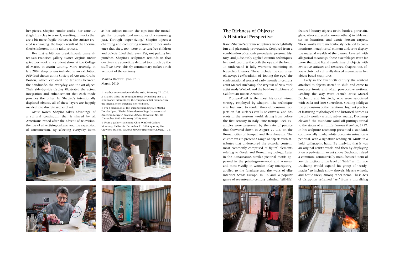#### The Richness of Objects: A Historical Perspective

Karen Shapiro's ceramic sculptures are delightfully fun and pleasantly provocative. Conjured from a combination of ceramic precedents, personal history, and judiciously applied ceramic techniques, her work captures the both the eye and the heart. To understand it fully warrants examining its blue-chip lineages. These include the centuriesold *trompe-l'oeil* tradition of "fooling-the-eye," the

featured luxury objects (fruit, bottles, porcelain, glass, silver and sculls, among others) in tableaux set on luxurious and exotic Persian carpets. These works were meticulously detailed to communicate metaphorical content and/or to display the material wealth of the owner. Layered with allegorical meanings, these assemblages were far more than just literal renderings of objects with evocative surfaces and textures. Shapiro, too, offers a clutch of culturally-linked meanings in her object-based sculptures.



confrontational works of early twentieth-century artist Marcel Duchamp, the wry wit of New York artist Andy Warhol, and the bad-boy funkiness of Californian Robert Arneson. Trompe-l'oeil is the most historical visual strategy employed by Shapiro. The technique was first used to render three-dimensional objects on flat surfaces (walls or canvas), and has roots in the western world, dating from before the first century in Italy. Fine trompe-l'oeil examples were preserved by the rain of pumice that showered down in August 79 C.E. on the Roman cities of Pompeii and Herculaneum. The custom was to present a range of objects with attributes that underscored the pictorial content, most commonly comprised of figural elements relating to Greek and Roman mythology. Later in the Renaissance, similar pictorial motifs appeared in the paintings-on-wood and -canvas, and most vividly, in wooden inlay (marquetry) applied to the furniture and the walls of elite interiors across Europe. In Holland, a popular genre of seventeenth-century painting (still-life) Early in the twentieth century the content attached to objects started to shift, and came to embrace ironic and often provocative notions. Leading the way were French artist Marcel Duchamp and his circle, who were associated with Dada and later Surrealism. Striking boldly at the pretensions of the traditional high art practice of featuring mythological and historical heroes as the only worthy artisitic subject matter, Duchamp elevated the mundane (and off-putting) urinal to the status of art in his famous *Fountain*, 1917. In his sculpture Duchamp presented a standard, commercially made, white porcelain urinal on a pedestal, with a signature reading "R. Mutt" in a bold, calligraphic hand. By implying that it was an original artist's work, and then by displaying it on a pedestal in an art show, Duchamp raised a common, commercially manufactured item of low distinction to the level of "high" art. In time Duchamp would expand his group of "readymades" to include snow shovels, bicycle wheels, and bottle racks, among other items. These acts of disruption reframed "art" from a moralizing



her pieces, Shapiro "under cooks" her cone 10 (high fire) clay to cone 4, resulting in works that are a bit more fragile. However, the surface created is engaging, the happy result of the thermal shocks inherent in the raku process.

Her first exhibition breakthrough came after San Francisco gallery owner Virginia Breier spied her work at a student show at the College of Marin, in Marin County. More recently, in late 2009 Shapiro was included in an exhibition *POP Craft* shown at the Society of Arts and Crafts, Boston, which explored the tensions between the handmade, the everyday, and the art object. Their side-by-side display illustrated the actual integration and enhancement that each mode provides the other. In Shapiro's intentionally displaced objects, all of these layers are happily melded into discrete works of art.

Artist Karen Shapiro takes advantage of a cultural continuum that is shared by all Americans raised after the advent of television, the rise of advertising culture, and the expansion of consumerism. By selecting everyday items as her subject matter, she taps into the nostalgia that prompts fond memories of a reassuring past. Through "super-sizing," Shapiro injects a charming and comforting reminder to her audience that they, too, were once carefree children and objects filled their eyes. Yet, not pulling her punches, Shapiro's sculptures reminds us that our lives are sometime defined too much by the stuff we have. This sly commentary makes a rich vein out of the ordinary.

Martha Drexler Lynn Ph.D. March 2010

1 Author conversation with the artist, February 27, 2010. 2 Shapiro skirts the copyright issues by making one-of-akind works; interestingly, the companies that manufacture the original often purchase her rendition.

3 For a discussion of this misunderstanding see Martha Drexler Lynn, "Useful Misunderstandings: Japanese and American Mingei," *Ceramics: Art and Perception*, No. 70 (December 2007 – February 2008):38–42. 4 From a gallery statement, Chris Winfield Gallery, Monterey, California, December 21, 2006, quoting Lisa Crawford Watson, *Ceramics Monthly* (December 2002):71–74.







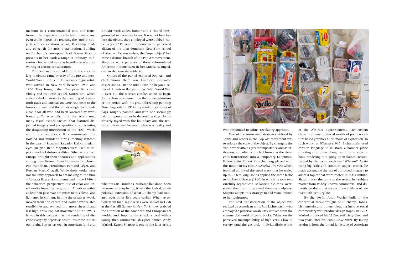who responded to Johns' revelatory approach. Johns and others in the Pop Art movement was to enlarge the scale of the object. By changing the size, a work attains greater importance and assertiveness, and often a touch of humor as the viewer is transformed into a temporary Lilliputian. Fellow artist Robert Rauschenberg played with this notion in his 1953 *Automobile Tire Piece* which featured an inked tire tread track that he scaled up to 22 feet long. Johns applied the same tactic to his *Painted Bronze* (1960) in which he took two carefully reproduced Ballantine ale cans, overscaled them, and presented them as sculpture. Shapiro adopts this strategy to add visual punch to her sculptures. By the 1960s, Andy Warhol built on the

One of the innovative strategies utilized by of the Abstract Expressionists), Lichtenstein chose the mass-produced motifs of popular culture based graphics as his mode of expression. In such works as *Whaam!* (1963) Lichtenstein used cartoon language to illustrate a bomber plane shooting at another plane, resulting in a comic book rendering of it going up in flames, accompanied by the comic expletive "Whaam!" Again using big scale and common subject matter, he made acceptable the use of borrowed imagery to address topics that were rooted in mass culture. Shapiro does the same as she selects her subject matter from widely known commercial and domestic products that are common artifacts of late twentieth-century life.

The next transformation of the object was realized by American artist Roy Lichtenstein who employed a pictorial vocabulary derived from the commercial world of comic books. Taking on the perceived incompatibility of high-versus-low in society (and the gestural, individualistic works conceptual breakthroughs of Duchamp, Johns, Lichtenstein and others, blending incisive social commentary with product design tropes. In 1962, Warhol produced his *32 Campbell's Soup Cans*, and two years later his iconic *Brillo Boxes*. By taking products from the broad landscape of American

medium to a confrontational one, and transformed the expectations attached to mundane, even crude objects. By rejecting the "noble" subjects and expectations of art, Duchamp made any object fit for artistic exploration. Building on Duchamp's conceptual lead, Karen Shapiro presents in her work a range of ordinary, midcentury household items as beguiling sculptures, worthy of artistic consideration.

The next significant addition to the vocabulary of objects came by way of the pre-and post-World War II influx of European émigré artists who arrived in New York between 1933 and 1950. They brought their European Dada sensibility and its 1930s sequel, Surrealism, which added a darker strain to the meaning of objects. Both Dada and Surrealism were responses to the horrors of war, and the artists sought to provide a tonic for all who had been lacerated by war's brutality. To accomplish this the artists used many visual "shock tactics" that featured disjointed imagery and juxtapositions, representing the disquieting intersection of the "real" world with the subconscious. To communicate this, isolated and mundane forms (melting watches in the case of Spaniard Salvador Dali) and giant eyes (Belgian René Magritte) were used to depict a world of sinister realities. Other artists from Europe brought their theories and applications, among them German Hans Hofmann, Dutchman Piet Mondrian, Frenchman Fernand Léger, and Russian Marc Chagall. While their works were not the only approach to art-making at the time – Abstract Expressionism emerged in the 1940s – their theories, perspectives, use of color and lineal motifs found fertile ground. American artists added their post-War optimism to this blend, and lightened its content. In time the urban art world moved from the earlier and darker war-related sensibilities and evolved into more cheerful and less high-brow Pop Art movement of the 1960s. It was in this context that the rendering of discrete everyday objects as sculptures came into its own right. Pop Art as seen in American (and also

British) work added humor and a "literal-ness" grounded in everyday forms. It was not long before the objects they employed were dubbed "super objects." Driven in response to the perceived elitism of the then-dominant New York school of Abstract Expressionism, the "super object" became a distinct branch of the Pop Art movement. Shapiro's work partakes of these reformulated American notions seen in her Surrealist-tinged, over-scale domestic artifacts.

Others of the period explored Pop Art, and chief among them was American innovator Jasper Johns. In the mid-1950s he began a series of American flag paintings. With World War II over but the Korean conflict about to begn, Johns chose to comment on the super-patriotism of the period with his groundbreaking painting *Three Flags* (about 1954). By rendering a series of flags, roughly painted, and with one seemingly laid on upon another in descending sizes, Johns cleverly toyed with the boundary and the tensions that existed between what was reality and



what was art - much as Duchamp had done. Seen by some as blasphemy, it was the logical, albeit political, extension of what Duchamp had initiated over thirty-five years earlier. When selections from his "Flags" series were shown in 1958 at the Castelli Gallery in New York, they grabbed the attention of the American and European art worlds, and, importantly, struck a cord with a young then-commercial designer named Andy Warhol. Karen Shapiro is one of the later artists

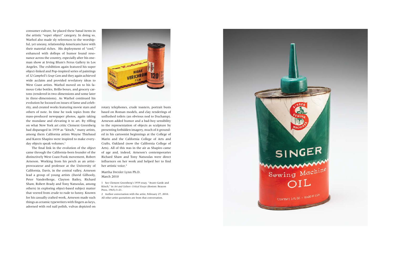rotary telephones, crude toasters, portrait busts based on Roman models, and clay renderings of unflushed toilets (an obvious nod to Duchamp). Arneson added humor and a bad-boy sensibility to the representation of objects as sculpture by presenting forbidden imagery, much of it grounded in his cartoonist beginnings at the College of Marin and the California College of Arts and Crafts, Oakland (now the California College of Arts). All of this was in the air as Shapiro came of age and, indeed, Arneson's contemporaries Richard Shaw and Tony Natsoulas were direct influences on her work and helped her to find her artistic voice.<sup>2</sup>

consumer culture, he placed these banal items in the artistic "super object" category. In doing so, Warhol also made sly references to the worshipful, yet uneasy, relationship Americans have with their material riches. His deployment of "cool," enhanced with dollops of humor found resonance across the country, especially after his oneman show at Irving Blum's Ferus Gallery in Los Angeles. The exhibition again featured his super object-linked and Pop-inspired series of paintings of *32 Campbell's Soup Cans* and they again achieved wide acclaim and provided revelatory ideas to West Coast artists. Warhol moved on to his famous Coke bottles, Brillo boxes, and grocery cartons (rendered in two-dimensions and some later in three-dimensions). As Warhol continued his evolution he focused on issues of fame and celebrity, and created works featuring movie stars and others of note. In time he took topics from the mass-produced newspaper photos, again taking the mundane and elevating it to art. By riffing on what New York art critic Clement Greenberg had disparaged in 1939 as "kitsch," many artists, among them California artists Wayne Thiebaud and Karen Shapiro were inspired to make everyday objects speak volumes.<sup>1</sup>

The final link in the evolution of the object came through the California-born founder of the distinctively West Coast Funk movement, Robert Arneson. Working from his perch as an artistprovocateur and professor at the University of California, Davis, in the central valley, Arneson lead a group of young artists (David Gilhooly, Peter VanderBerge, Clayton Bailey, Richard Shaw, Robert Brady and Tony Natsoulas, among others) in exploring object-based subject matter that veered from crude to rude to funny. Known for his casually crafted work, Arneson made such things as ceramic typewriters with fingers as keys, adorned with red nail polish, vulvas depicted on



Martha Drexler Lynn Ph.D. March 2010

1 See Clement Greenberg's 1939 essay, "Avant-Garde and Kitsch," in *Art and Culture: Critical Essays* (Boston: Beacon Press, 1965):3–21.

2 Author conversation with the artist, February 27, 2010. All other artist quotations are from that conversation.

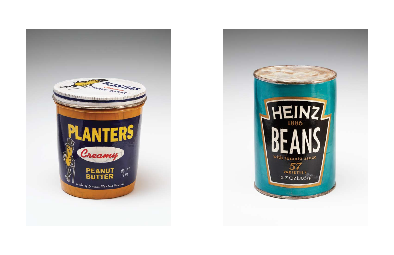

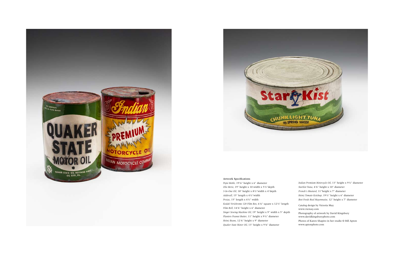



#### Artwork Specifications

*Pepsi Bottle*, 19¼" height x 6" diameter *Olio Berio*, 19" height x 10 width x 5½"depth *3-In-One Oil*, 18" height x 8½"width x 4"depth *Adderall*, 15" length x 4½"width *Prozac*, 15" length x 4½" width *Kodak Verichrome 120 Film Box*, 6¼" square x 12½" length *Film Roll*, 14¾" height x 6" diameter *Singer Sewing Machine Oil*, 19" height x 9" width x 5" depth *Planters Peanut Butter*, 11" height x 9½" diameter *Heinz Beans*, 12¾" height x 9" diameter *Quaker State Motor Oil*, 13" height x 9¾" diameter

*Indian Premium Motorcycle Oil*, 13" height x 9½" diameter *Starkist Tuna*, 4¾" height x 10" diameter *French's Mustard*, 11"height x 7" diameter *Heinz Tomato Ketchup*, 19½" height x 6" diameter *Best Foods Real Mayonnaise*, 12" height x 7" diameter

Catalog design by Victoria May www.vicmay.com Photography of artwork by David Kingsbury www.davidkingsburyphoto.com Photos of Karen Shapiro in her studio © Bill Apton www.aptonphoto.com